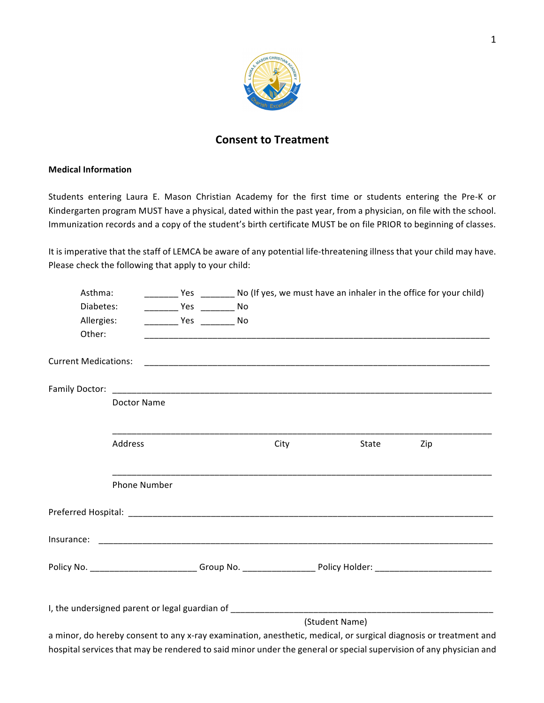

## **Consent to Treatment**

## **Medical Information**

Students entering Laura E. Mason Christian Academy for the first time or students entering the Pre-K or Kindergarten program MUST have a physical, dated within the past year, from a physician, on file with the school. Immunization records and a copy of the student's birth certificate MUST be on file PRIOR to beginning of classes.

It is imperative that the staff of LEMCA be aware of any potential life-threatening illness that your child may have. Please check the following that apply to your child:

| Asthma:    |                     |                                   |      |       |                                                                                                                    |
|------------|---------------------|-----------------------------------|------|-------|--------------------------------------------------------------------------------------------------------------------|
| Diabetes:  |                     |                                   |      |       |                                                                                                                    |
| Allergies: |                     | ______________ Yes ___________ No |      |       |                                                                                                                    |
| Other:     |                     |                                   |      |       |                                                                                                                    |
|            |                     |                                   |      |       |                                                                                                                    |
|            |                     |                                   |      |       |                                                                                                                    |
|            | Doctor Name         |                                   |      |       |                                                                                                                    |
|            |                     |                                   |      |       |                                                                                                                    |
|            | Address             |                                   | City | State | Zip                                                                                                                |
|            | <b>Phone Number</b> |                                   |      |       |                                                                                                                    |
|            |                     |                                   |      |       |                                                                                                                    |
|            |                     |                                   |      |       |                                                                                                                    |
|            |                     |                                   |      |       | Policy No. ___________________________Group No. ____________________Policy Holder: ___________________________     |
|            |                     |                                   |      |       |                                                                                                                    |
|            |                     | (Student Name)                    |      |       |                                                                                                                    |
|            |                     |                                   |      |       | a minor, do hereby consent to any x-ray examination, anesthetic, medical, or surgical diagnosis or treatment and   |
|            |                     |                                   |      |       | hospital services that may be rendered to said minor under the general or special supervision of any physician and |